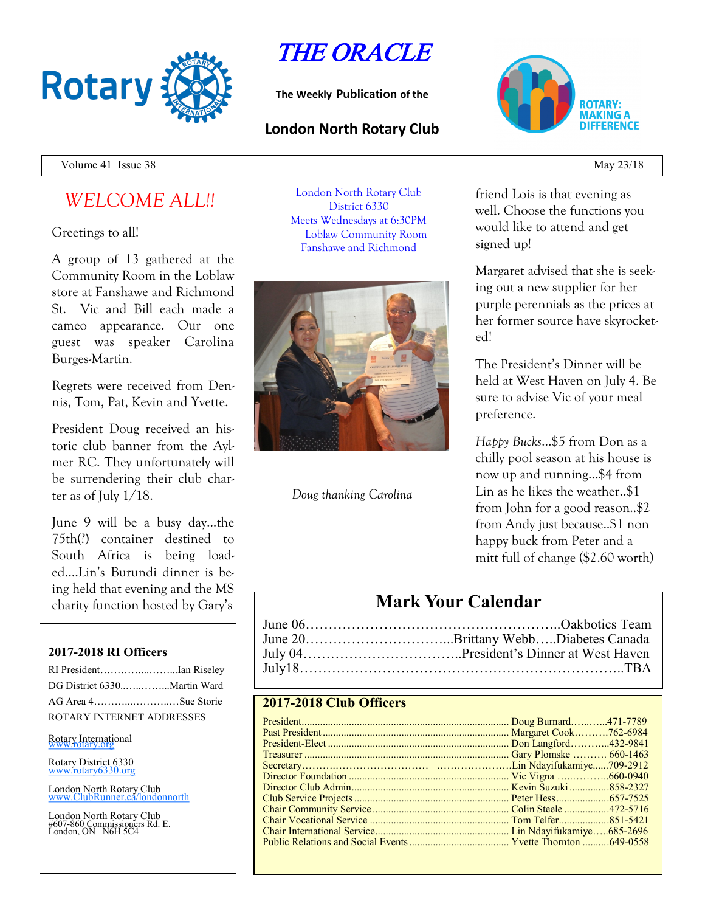

THE ORACLE

**The Weekly Publication of the**

## **London North Rotary Club**



Volume 41 Issue 38 May 23/18

# *WELCOME ALL!!*

Greetings to all!

A group of 13 gathered at the Community Room in the Loblaw store at Fanshawe and Richmond St. Vic and Bill each made a cameo appearance. Our one guest was speaker Carolina Burges-Martin.

Regrets were received from Dennis, Tom, Pat, Kevin and Yvette.

President Doug received an historic club banner from the Aylmer RC. They unfortunately will be surrendering their club charter as of July 1/18.

June 9 will be a busy day...the 75th(?) container destined to South Africa is being loaded….Lin's Burundi dinner is being held that evening and the MS charity function hosted by Gary's

### **2017-2018 RI Officers**

| RI PresidentIan Riseley   |  |
|---------------------------|--|
|                           |  |
| AG Area 4Sue Storie       |  |
| ROTARY INTERNET ADDRESSES |  |
|                           |  |

Rotary International

Rotary District 6330 [www.rotary6330.org](http://www.rotary6330.org/)

London North Rotary Club IubRunner.ca/londonnorth

London North Rotary Club #607-860 Commissioners Rd. E. London, ON N6H 5C4

London North Rotary Club District 6330 Meets Wednesdays at 6:30PM Loblaw Community Room Fanshawe and Richmond



*Doug thanking Carolina*

friend Lois is that evening as well. Choose the functions you would like to attend and get signed up!

Margaret advised that she is seeking out a new supplier for her purple perennials as the prices at her former source have skyrocketed!

The President's Dinner will be held at West Haven on July 4. Be sure to advise Vic of your meal preference.

*Happy Bucks*…\$5 from Don as a chilly pool season at his house is now up and running...\$4 from Lin as he likes the weather..\$1 from John for a good reason..\$2 from Andy just because..\$1 non happy buck from Peter and a mitt full of change (\$2.60 worth)

# **Mark Your Calendar**

| June 20Brittany WebbDiabetes Canada |
|-------------------------------------|
|                                     |
|                                     |

### **2017-2018 Club Officers**